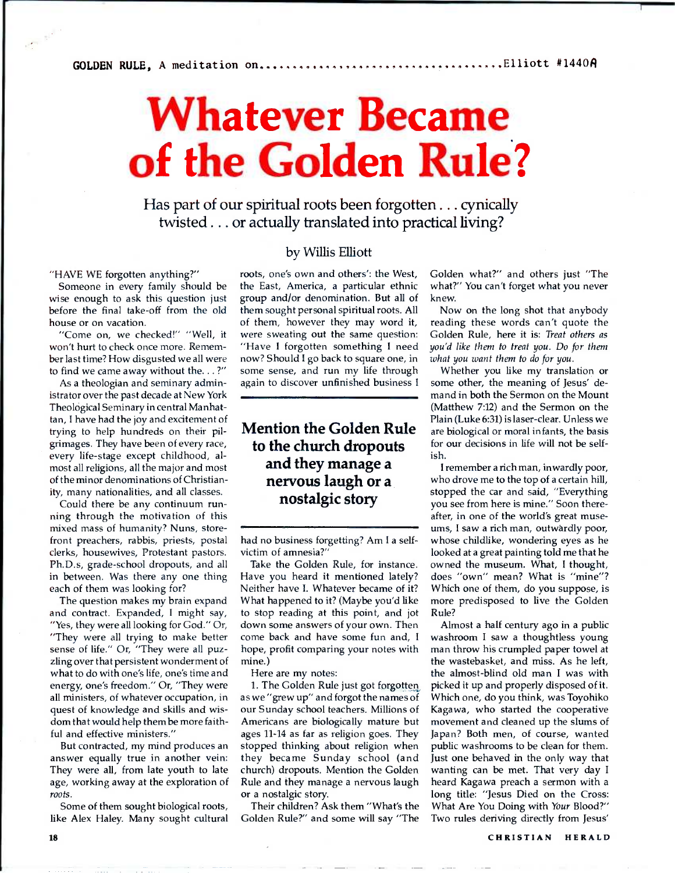## **Whatever Became of the Golden Rule?**

Has part of our spiritual roots been forgotten . . . cynically twisted.. . or actually translated into practical living?

"HAVE WE forgotten anything?"

Someone in every family should be wise enough to ask this question just before the final take-off from the old house or on vacation.

'Come on, we checked!" "Well, it won't hurt to check once more. Remember last time? How disgusted we all were to find we came away without the. .. ?"

As a theologian and seminary administrator over the past decade at New York Theological Seminary in central Manhattan, I have had the joy and excitement of trying to help hundreds on their pilgrimages. They have been of every race, every life-stage except childhood, almost all religions, all the major and most of the minor denominations of Christianity, many nationalities, and all classes.

Could there be any continuum running through the motivation of this mixed mass of humanity? Nuns, storefront preachers, rabbis, priests, postal clerks, housewives, Protestant pastors. Ph.D.s, grade-school dropouts, and all in between. Was there any one thing each of them was looking for?

The question makes my brain expand and contract. Expanded, I might say, "Yes, they were all looking for God." Or, "They were all trying to make better sense of life." Or, "They were all puzzling over that persistent wonderment of what to do with one's life, one's time and energy, one's freedom." Or, "They were all ministers, of whatever occupation, in quest of knowledge and skills and wisdom that would help them be more faithful and effective ministers."

But contracted, my mind produces an answer equally true in another vein: They were all, from late youth to late age, working away at the exploration of *roots.* 

Some of them sought biological roots, like Alex Haley. Many sought cultural

## by Willis Elliott

roots, one's own and others': the West, the East, America, a particular ethnic group and/or denomination. But all of them sought personal spiritual roots. All of them, however they may word it, were sweating out the same question: "Have I forgotten something I need now? Should I go back to square one, in some sense, and run my life through again to discover unfinished business I

## **Mention the Golden Rule to the church dropouts and they manage a nervous laugh or a nostalgic story**

had no business forgetting? Am I a selfvictim of amnesia?"

Take the Golden Rule, for instance. Have you heard it mentioned lately? Neither have I. Whatever became of it? What happened to it? (Maybe you'd like to stop reading at this point, and jot down some answers of your own. Then come back and have some fun and, I hope, profit comparing your notes with mine.)

Here are my notes:

1. The Golden Rule just got forgotten as we "grew up" and forgot the names of our Sunday school teachers. Millions of Americans are biologically mature but ages 11-14 as far as religion goes. They stopped thinking about religion when they became Sunday school (and church) dropouts. Mention the Golden Rule and they manage a nervous laugh or a nostalgic story.

Their children? Ask them "What's the Golden Rule?" and some will say "The Golden what?" and others just "The what?" You can't forget what you never knew.

Now on the long shot that anybody reading these words can't quote the Golden Rule, here it is: *Treat others as you'd like them to treat you. Do for them what you want them to do for you.* 

Whether you like my translation or some other, the meaning of Jesus' demand in both the Sermon on the Mount (Matthew 7:12) and the Sermon on the Plain (Luke 6:31) is laser-clear. Unless we are biological or moral infants, the basis for our decisions in life will not be selfish.

I remember a rich man, inwardly poor, who drove me to the top of a certain hill, stopped the car and said, "Everything you see from here is mine." Soon thereafter, in one of the world's great museums, I saw a rich man, outwardly poor, whose childlike, wondering eyes as he looked at a great painting told me that he owned the museum. What, I thought, does "own" mean? What is "mine"? Which one of them, do you suppose, is more predisposed to live the Golden Rule?

Almost a half century ago in a public washroom I saw a thoughtless young man throw his crumpled paper towel at the wastebasket, and miss. As he left, the almost-blind old man I was with picked it up and properly disposed of it. Which one, do you think, was Toyohiko Kagawa, who started the cooperative movement and cleaned up the slums of Japan? Both men, of course, wanted public washrooms to be clean for them. Just one behaved in the only way that wanting can be met. That very day I heard Kagawa preach a sermon with a long title: "Jesus Died on the Cross: What Are You Doing with Your Blood?" Two rules deriving directly from Jesus'